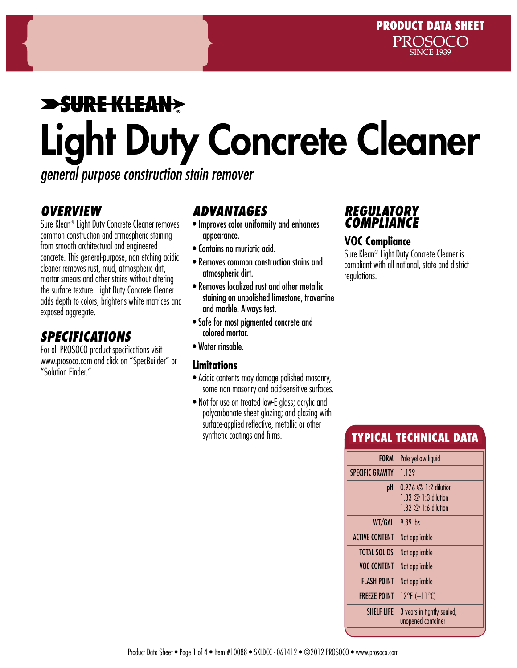# **SURE KLEAN>** Light Duty Concrete Cleaner

*general purpose construction stain remover*

## *OVERVIEW*

Sure Klean® Light Duty Concrete Cleaner removes common construction and atmospheric staining from smooth architectural and engineered concrete. This general-purpose, non etching acidic cleaner removes rust, mud, atmospheric dirt, mortar smears and other stains without altering the surface texture. Light Duty Concrete Cleaner adds depth to colors, brightens white matrices and exposed aggregate.

# *Specifications*

For all PROSOCO product specifications visit www.prosoco.com and click on "SpecBuilder" or "Solution Finder."

# *Advantages*

- Improves color uniformity and enhances appearance.
- Contains no muriatic acid.
- Removes common construction stains and atmospheric dirt.
- Removes localized rust and other metallic staining on unpolished limestone, travertine and marble. Always test.
- Safe for most pigmented concrete and colored mortar.
- Water rinsable.

### **Limitations**

- Acidic contents may damage polished masonry, some non masonry and acid-sensitive surfaces.
- Not for use on treated low-E glass; acrylic and polycarbonate sheet glazing; and glazing with surface-applied reflective, metallic or other synthetic coatings and films.

## *REGULATORY COMPLIANCE*

### **VOC Compliance**

Sure Klean® Light Duty Concrete Cleaner is compliant with all national, state and district regulations.

# Typical technical data

| <b>FORM</b>             | Pale yellow liquid                                                                         |  |  |
|-------------------------|--------------------------------------------------------------------------------------------|--|--|
| <b>SPECIFIC GRAVITY</b> | 1.129                                                                                      |  |  |
| pH                      | $0.976 \oslash$ 1:2 dilution<br>$1.33 \oslash 1.3$ dilution<br>$1.82 \oslash 1:6$ dilution |  |  |
| WT/GAL                  | $9.39$ lhs                                                                                 |  |  |
| <b>ACTIVE CONTENT</b>   | Not applicable                                                                             |  |  |
| <b>TOTAL SOLIDS</b>     | Not applicable                                                                             |  |  |
| <b>VOC CONTENT</b>      | Not applicable                                                                             |  |  |
| <b>FLASH POINT</b>      | Not applicable                                                                             |  |  |
| <b>FREEZE POINT</b>     | $12^{\circ}$ F (-11 $^{\circ}$ C)                                                          |  |  |
| <b>SHELF LIFF</b>       | 3 years in tightly sealed,<br>unopened container                                           |  |  |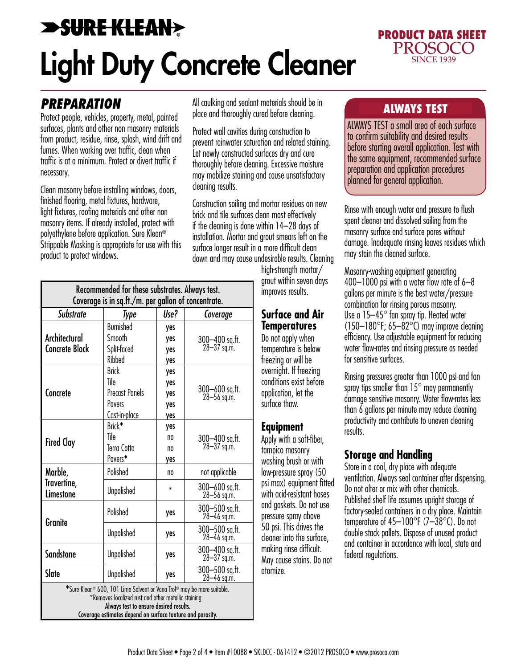# **>SURE KLEAN>** Light Duty Concrete Cleaner



## *PREPARATION*

Protect people, vehicles, property, metal, painted surfaces, plants and other non masonry materials from product, residue, rinse, splash, wind drift and fumes. When working over traffic, clean when traffic is at a minimum. Protect or divert traffic if necessary.

Clean masonry before installing windows, doors, finished flooring, metal fixtures, hardware, light fixtures, roofing materials and other non masonry items. If already installed, protect with polyethylene before application. Sure Klean® Strippable Masking is appropriate for use with this product to protect windows.

All caulking and sealant materials should be in **ALWAYS TEST**<br>place and thoroughly cured before cleaning.

Protect wall cavities during construction to prevent rainwater saturation and related staining. Let newly constructed surfaces dry and cure thoroughly before cleaning. Excessive moisture may mobilize staining and cause unsatisfactory cleaning results.

Construction soiling and mortar residues on new brick and tile surfaces clean most effectively if the cleaning is done within 14–28 days of installation. Mortar and grout smears left on the surface longer result in a more difficult clean down and may cause undesirable results. Cleaning

high-strength mortar/ grout within seven days improves results.

#### **Surface and Air Temperatures**

Do not apply when temperature is below freezing or will be overnight. If freezing conditions exist before application, let the surface thaw.

### **Equipment**

Apply with a soft-fiber, tampico masonry washing brush or with low-pressure spray (50 psi max) equipment fitted with acid-resistant hoses and gaskets. Do not use pressure spray above 50 psi. This drives the cleaner into the surface, making rinse difficult. May cause stains. Do not atomize.

ALWAYS TEST a small area of each surface to confirm suitability and desired results before starting overall application. Test with the same equipment, recommended surface preparation and application procedures planned for general application.

Rinse with enough water and pressure to flush spent cleaner and dissolved soiling from the masonry surface and surface pores without damage. Inadequate rinsing leaves residues which may stain the cleaned surface.

Masonry-washing equipment generating 400–1000 psi with a water flow rate of 6–8 gallons per minute is the best water/pressure combination for rinsing porous masonry. Use a 15–45° fan spray tip. Heated water  $(150-180^{\circ}$ F; 65–82 $^{\circ}$ C) may improve cleaning efficiency. Use adjustable equipment for reducing water flow-rates and rinsing pressure as needed for sensitive surfaces.

Rinsing pressures greater than 1000 psi and fan spray tips smaller than  $15^\circ$  may permanently damage sensitive masonry. Water flow-rates less than 6 gallons per minute may reduce cleaning productivity and contribute to uneven cleaning results.

### **Storage and Handling**

Store in a cool, dry place with adequate ventilation. Always seal container after dispensing. Do not alter or mix with other chemicals. Published shelf life assumes upright storage of factory-sealed containers in a dry place. Maintain temperature of 45–100°F (7–38°C). Do not double stack pallets. Dispose of unused product and container in accordance with local, state and federal regulations.

| Recommended for these substrates. Always test.<br>Coverage is in sq.ft./m. per gallon of concentrate.                                                                                                                                  |                                                                                  |                                 |                                   |
|----------------------------------------------------------------------------------------------------------------------------------------------------------------------------------------------------------------------------------------|----------------------------------------------------------------------------------|---------------------------------|-----------------------------------|
| <b>Substrate</b>                                                                                                                                                                                                                       | Type                                                                             | Use?                            | Coverage                          |
| Architectural<br><b>Concrete Block</b>                                                                                                                                                                                                 | <b>Burnished</b><br>Smooth<br>Split-faced<br>Ribbed                              | yes<br>yes<br>yes<br>yes        | 300-400 sq.ft.<br>28-37 sq.m.     |
| Concrete                                                                                                                                                                                                                               | <b>Brick</b><br>Tile<br><b>Precast Panels</b><br><b>Privers</b><br>Cast-in-place | yes<br>yes<br>yes<br>yes<br>yes | 300-600 sq.ft.<br>28-56 sq.m.     |
| <b>Fired Clay</b>                                                                                                                                                                                                                      | Brick <sup>+</sup><br>Tile<br>Terra Cotta<br>Pavers <sup>+</sup>                 | yes<br>no<br>no<br>yes          | 300-400 sq.ft.<br>28-37 sq.m.     |
| Marble,<br>Travertine,<br>Limestone                                                                                                                                                                                                    | Polished                                                                         | no                              | not applicable                    |
|                                                                                                                                                                                                                                        | Unpolished                                                                       | $\ast$                          | 300-600 sq.ft.<br>$28 - 56$ sq.m. |
| <b>Granite</b>                                                                                                                                                                                                                         | Polished                                                                         | yes                             | 300-500 sq.ft.<br>$28 - 46$ sq.m. |
|                                                                                                                                                                                                                                        | <b>Unpolished</b>                                                                | yes                             | 300-500 sq.ft.<br>28-46 sq.m.     |
| <b>Sandstone</b>                                                                                                                                                                                                                       | Unpolished                                                                       | yes                             | 300-400 sq.ft.<br>$28 - 37$ sq.m. |
| Slate                                                                                                                                                                                                                                  | Unpolished                                                                       | yes                             | 300-500 sq.ft.<br>28-46 sq.m.     |
| *Sure Klean® 600, 101 Lime Solvent or Vana Trol® may be more suitable.<br>*Removes localized rust and other metallic staining.<br>Always test to ensure desired results.<br>Coverage estimates depend on surface texture and porosity. |                                                                                  |                                 |                                   |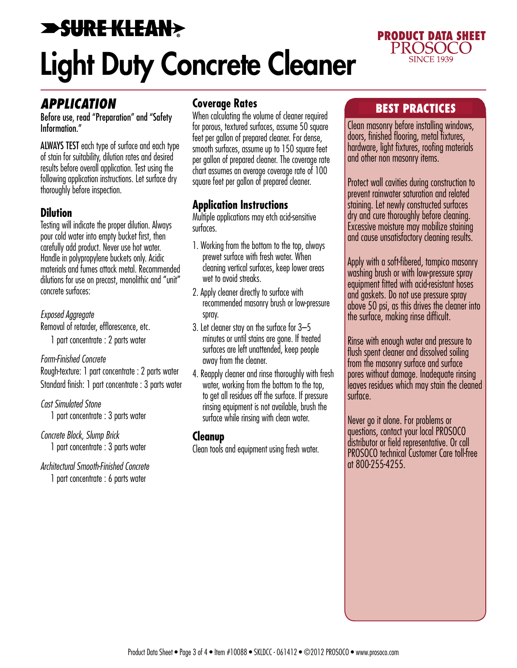# **SURE KLEAN>** Light Duty Concrete Cleaner



### *APPLICATION*

Before use, read "Preparation" and "Safety Information."

ALWAYS TEST each type of surface and each type of stain for suitability, dilution rates and desired results before overall application. Test using the following application instructions. Let surface dry thoroughly before inspection.

### **Dilution**

Testing will indicate the proper dilution. Always pour cold water into empty bucket first, then carefully add product. Never use hot water. Handle in polypropylene buckets only. Acidic materials and fumes attack metal. Recommended dilutions for use on precast, monolithic and "unit" concrete surfaces:

*Exposed Aggregate*

Removal of retarder, efflorescence, etc. 1 part concentrate : 2 parts water

#### *Form-Finished Concrete*

Rough-texture: 1 part concentrate : 2 parts water Standard finish: 1 part concentrate : 3 parts water

*Cast Simulated Stone* 1 part concentrate : 3 parts water

*Concrete Block, Slump Brick* 1 part concentrate : 3 parts water

*Architectural Smooth-Finished Concrete* 1 part concentrate : 6 parts water

### **Coverage Rates**

When calculating the volume of cleaner required for porous, textured surfaces, assume 50 square feet per gallon of prepared cleaner. For dense, smooth surfaces, assume up to 150 square feet per gallon of prepared cleaner. The coverage rate chart assumes an average coverage rate of 100 square feet per gallon of prepared cleaner.

### **Application Instructions**

Multiple applications may etch acid-sensitive surfaces.

- 1. Working from the bottom to the top, always prewet surface with fresh water. When cleaning vertical surfaces, keep lower areas wet to avoid streaks.
- 2. Apply cleaner directly to surface with recommended masonry brush or low-pressure spray.
- 3. Let cleaner stay on the surface for 3–5 minutes or until stains are gone. If treated surfaces are left unattended, keep people away from the cleaner.
- 4. Reapply cleaner and rinse thoroughly with fresh water, working from the bottom to the top, to get all residues off the surface. If pressure rinsing equipment is not available, brush the surface while rinsing with clean water.

### **Cleanup**

Clean tools and equipment using fresh water.

### Best practices

Clean masonry before installing windows, doors, finished flooring, metal fixtures, hardware, light fixtures, roofing materials and other non masonry items.

Protect wall cavities during construction to prevent rainwater saturation and related staining. Let newly constructed surfaces dry and cure thoroughly before cleaning. Excessive moisture may mobilize staining and cause unsatisfactory cleaning results.

Apply with a soft-fibered, tampico masonry washing brush or with low-pressure spray equipment fitted with acid-resistant hoses and gaskets. Do not use pressure spray above 50 psi, as this drives the cleaner into the surface, making rinse difficult.

Rinse with enough water and pressure to flush spent cleaner and dissolved soiling from the masonry surface and surface pores without damage. Inadequate rinsing leaves residues which may stain the cleaned surface.

Never go it alone. For problems or questions, contact your local PROSOCO distributor or field representative. Or call PROSOCO technical Customer Care toll-free at 800-255-4255.